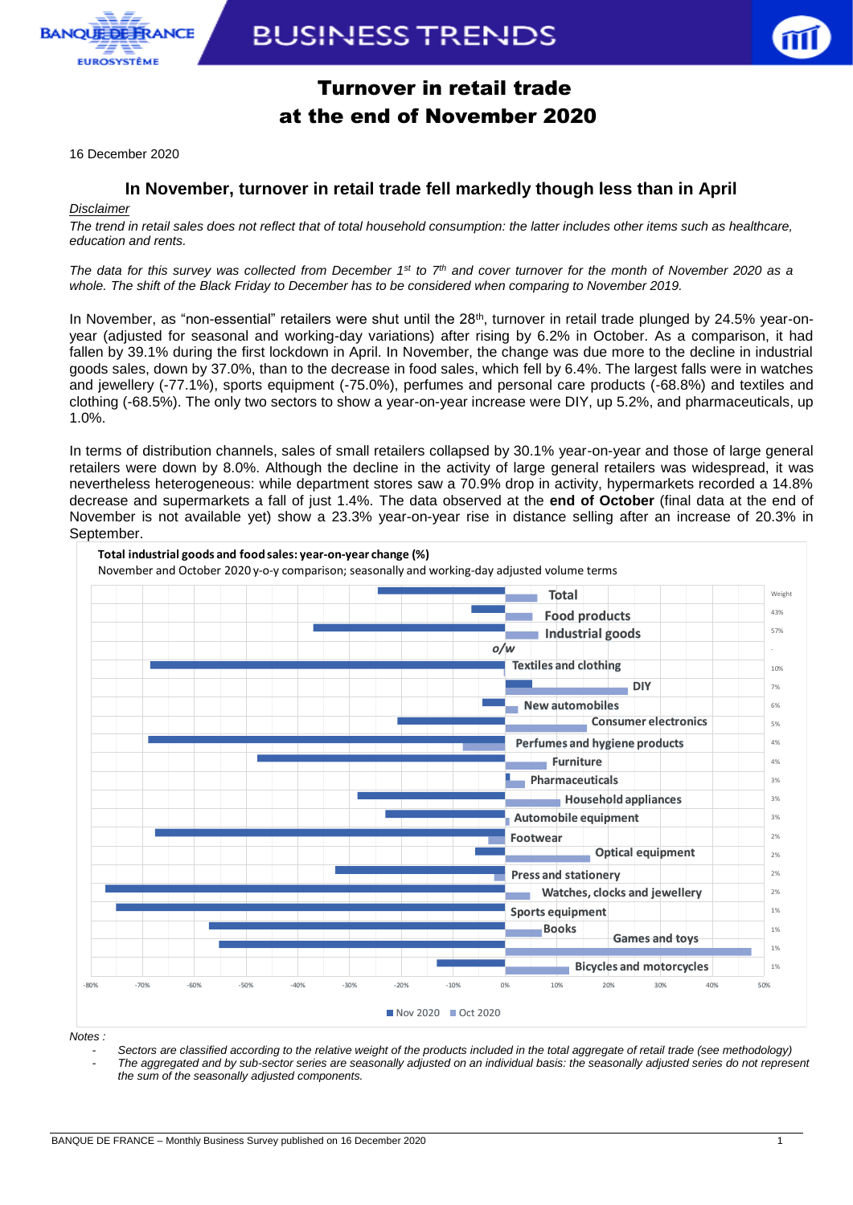

# **BUSINESS TRENDS**



### Turnover in retail trade at the end of November 2020

16 December 2020

### **In November, turnover in retail trade fell markedly though less than in April**

### *Disclaimer*

*The trend in retail sales does not reflect that of total household consumption: the latter includes other items such as healthcare, education and rents.*

*The data for this survey was collected from December 1st to 7th and cover turnover for the month of November 2020 as a whole. The shift of the Black Friday to December has to be considered when comparing to November 2019.*

In November, as "non-essential" retailers were shut until the  $28<sup>th</sup>$ , turnover in retail trade plunged by  $24.5\%$  year-onyear (adjusted for seasonal and working-day variations) after rising by 6.2% in October. As a comparison, it had fallen by 39.1% during the first lockdown in April. In November, the change was due more to the decline in industrial goods sales, down by 37.0%, than to the decrease in food sales, which fell by 6.4%. The largest falls were in watches and jewellery (-77.1%), sports equipment (-75.0%), perfumes and personal care products (-68.8%) and textiles and clothing (-68.5%). The only two sectors to show a year-on-year increase were DIY, up 5.2%, and pharmaceuticals, up 1.0%.

In terms of distribution channels, sales of small retailers collapsed by 30.1% year-on-year and those of large general retailers were down by 8.0%. Although the decline in the activity of large general retailers was widespread, it was nevertheless heterogeneous: while department stores saw a 70.9% drop in activity, hypermarkets recorded a 14.8% decrease and supermarkets a fall of just 1.4%. The data observed at the **end of October** (final data at the end of November is not available yet) show a 23.3% year-on-year rise in distance selling after an increase of 20.3% in September. rms of distribution channels, sales of small retailers (<br>
ers were down by 8.0%. Although the decline in the<br>
rtheless heterogeneous: while department stores sa<br>
ease and supermarkets a fall of just 1.4%. The data<br>
ember i



*Notes :* 

*- Sectors are classified according to the relative weight of the products included in the total aggregate of retail trade (see methodology) - The aggregated and by sub-sector series are seasonally adjusted on an individual basis: the seasonally adjusted series do not represent the sum of the seasonally adjusted components.*